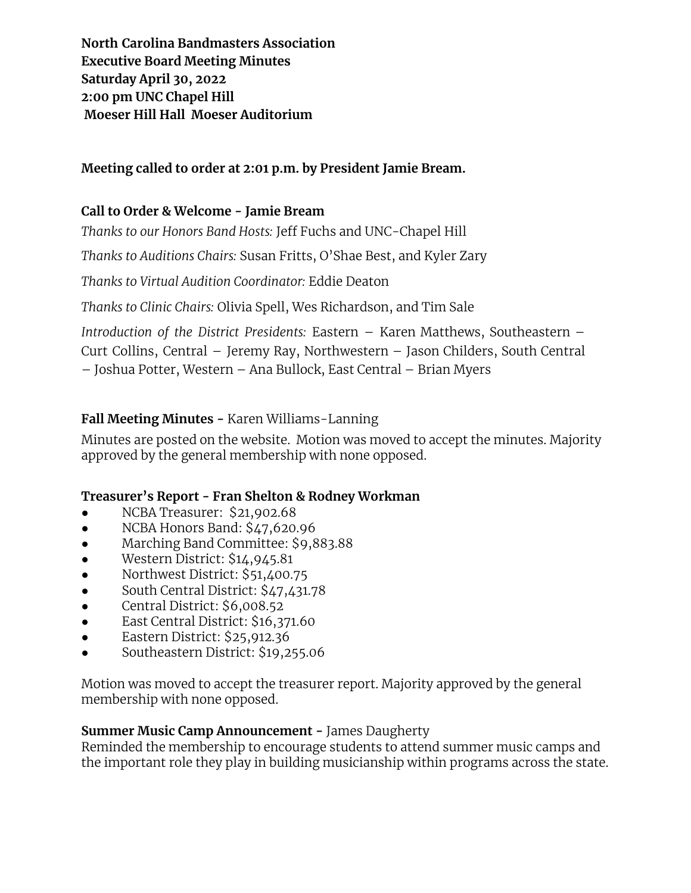**North Carolina Bandmasters Association Executive Board Meeting Minutes Saturday April 30, 2022 2:00 pm UNC Chapel Hill Moeser Hill Hall Moeser Auditorium**

## **Meeting called to order at 2:01 p.m. by President Jamie Bream.**

## **Call to Order & Welcome - Jamie Bream**

*Thanks to our Honors Band Hosts:* Jeff Fuchs and UNC-Chapel Hill

*Thanks to Auditions Chairs:* Susan Fritts, O'Shae Best, and Kyler Zary

*Thanks to Virtual Audition Coordinator:* Eddie Deaton

*Thanks to Clinic Chairs:* Olivia Spell, Wes Richardson, and Tim Sale

*Introduction of the District Presidents:* Eastern – Karen Matthews, Southeastern – Curt Collins, Central – Jeremy Ray, Northwestern – Jason Childers, South Central – Joshua Potter, Western – Ana Bullock, East Central – Brian Myers

# **Fall Meeting Minutes -** Karen Williams-Lanning

Minutes are posted on the website. Motion was moved to accept the minutes. Majority approved by the general membership with none opposed.

### **Treasurer's Report - Fran Shelton & Rodney Workman**

- NCBA Treasurer: \$21,902.68
- NCBA Honors Band: \$47,620.96
- Marching Band Committee: \$9,883.88
- Western District: \$14,945.81
- Northwest District: \$51,400.75
- South Central District: \$47,431.78
- Central District: \$6,008.52
- East Central District: \$16,371.60
- Eastern District: \$25,912.36
- Southeastern District: \$19,255.06

Motion was moved to accept the treasurer report. Majority approved by the general membership with none opposed.

### **Summer Music Camp Announcement -** James Daugherty

Reminded the membership to encourage students to attend summer music camps and the important role they play in building musicianship within programs across the state.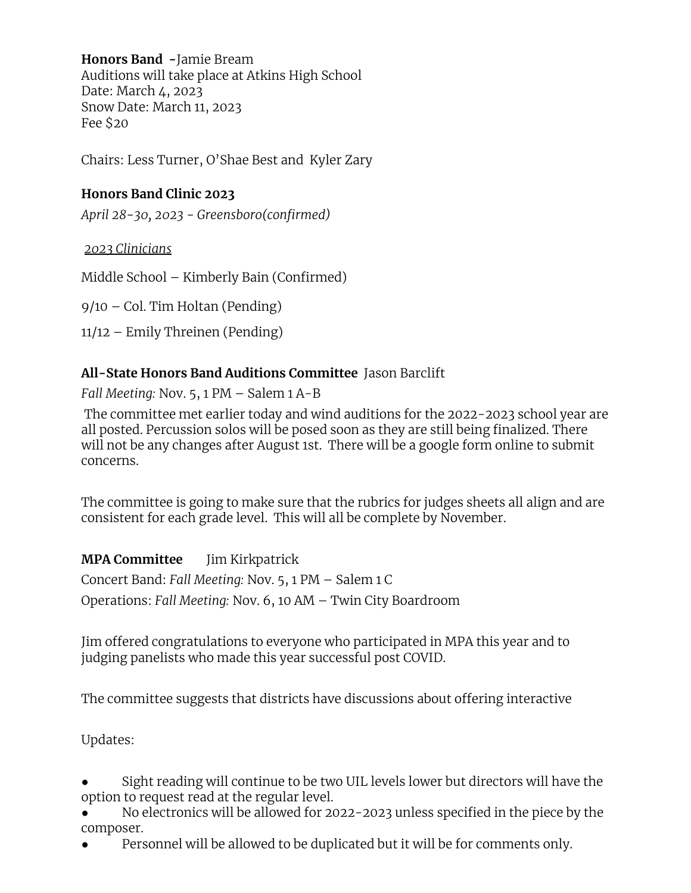**Honors Band -**Jamie Bream Auditions will take place at Atkins High School Date: March 4, 2023 Snow Date: March 11, 2023 Fee \$20

Chairs: Less Turner, O'Shae Best and Kyler Zary

### **Honors Band Clinic 2023**

*April 28-30, 2023 - Greensboro(confirmed)*

### *2023 Clinicians*

Middle School – Kimberly Bain (Confirmed)

9/10 – Col. Tim Holtan (Pending)

11/12 – Emily Threinen (Pending)

### **All-State Honors Band Auditions Committee** Jason Barclift

*Fall Meeting:* Nov. 5, 1 PM – Salem 1 A-B

The committee met earlier today and wind auditions for the 2022-2023 school year are all posted. Percussion solos will be posed soon as they are still being finalized. There will not be any changes after August 1st. There will be a google form online to submit concerns.

The committee is going to make sure that the rubrics for judges sheets all align and are consistent for each grade level. This will all be complete by November.

**MPA Committee** Jim Kirkpatrick

Concert Band: *Fall Meeting:* Nov. 5, 1 PM – Salem 1 C Operations: *Fall Meeting:* Nov. 6, 10 AM – Twin City Boardroom

Jim offered congratulations to everyone who participated in MPA this year and to judging panelists who made this year successful post COVID.

The committee suggests that districts have discussions about offering interactive

Updates:

- Sight reading will continue to be two UIL levels lower but directors will have the option to request read at the regular level.
- No electronics will be allowed for 2022-2023 unless specified in the piece by the composer.
- Personnel will be allowed to be duplicated but it will be for comments only.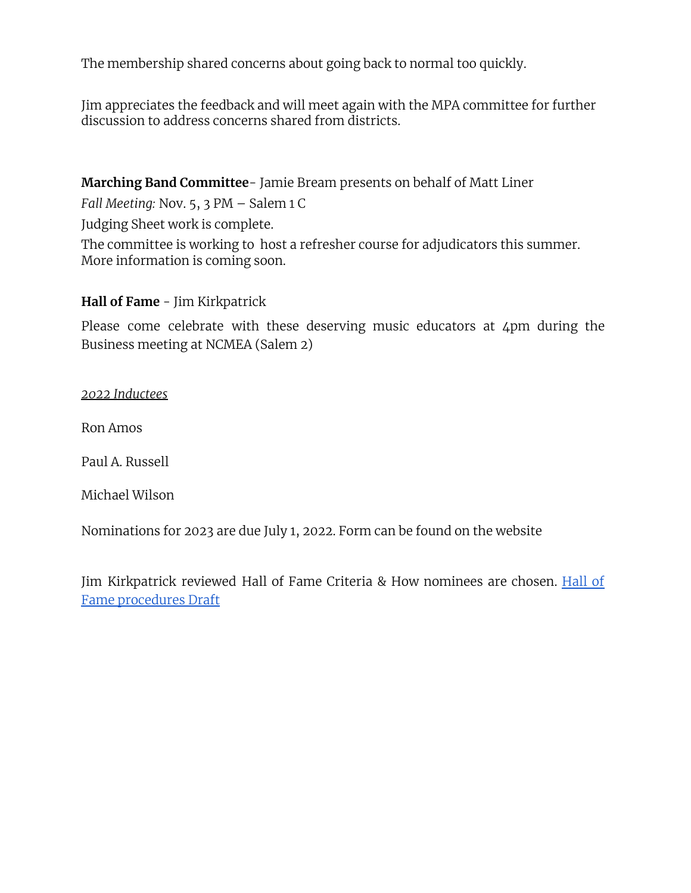The membership shared concerns about going back to normal too quickly.

Jim appreciates the feedback and will meet again with the MPA committee for further discussion to address concerns shared from districts.

**Marching Band Committee**- Jamie Bream presents on behalf of Matt Liner

*Fall Meeting:* Nov. 5, 3 PM – Salem 1 C

Judging Sheet work is complete.

The committee is working to host a refresher course for adjudicators this summer. More information is coming soon.

### **Hall of Fame** - Jim Kirkpatrick

Please come celebrate with these deserving music educators at 4pm during the Business meeting at NCMEA (Salem 2)

#### *2022 Inductees*

Ron Amos

Paul A. Russell

Michael Wilson

Nominations for 2023 are due July 1, 2022. Form can be found on the website

Jim Kirkpatrick reviewed Hall of Fame Criteria & How nominees are chosen. [Hall](https://docs.google.com/document/d/1oU9gI0VEtByfpCkQ_LOJ4TJdYkFg5SdyvAOgyLhQXfs/edit) of Fame [procedures](https://docs.google.com/document/d/1oU9gI0VEtByfpCkQ_LOJ4TJdYkFg5SdyvAOgyLhQXfs/edit) Draft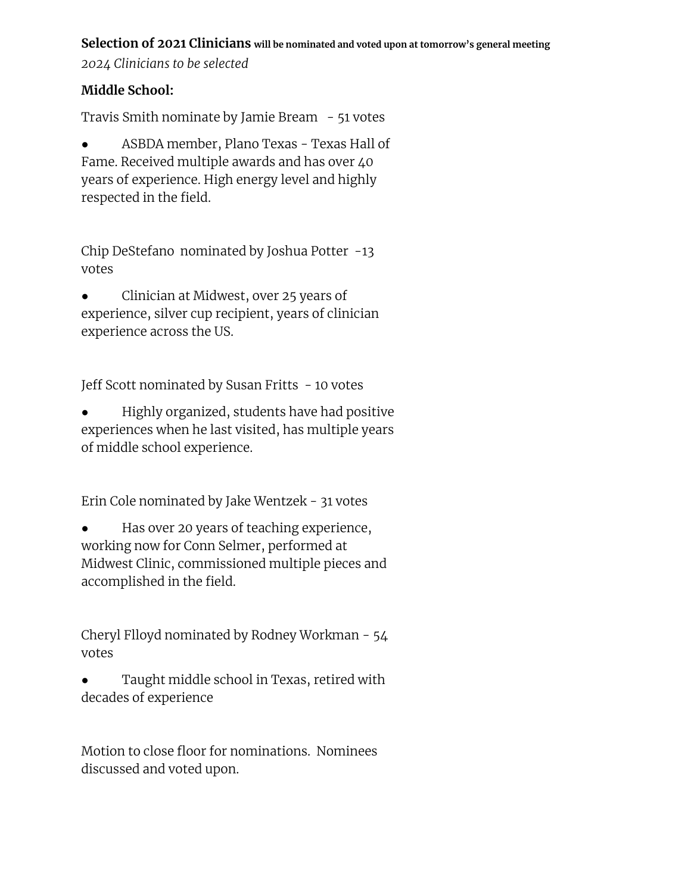#### **Selection of 2021 Clinicians will be nominated and voted upon at tomorrow's general meeting**

*2024 Clinicians to be selected*

### **Middle School:**

Travis Smith nominate by Jamie Bream  $-51$  votes

• ASBDA member, Plano Texas - Texas Hall of Fame. Received multiple awards and has over 40 years of experience. High energy level and highly respected in the field.

Chip DeStefano nominated by Joshua Potter -13 votes

Clinician at Midwest, over 25 years of experience, silver cup recipient, years of clinician experience across the US.

Jeff Scott nominated by Susan Fritts - 10 votes

Highly organized, students have had positive experiences when he last visited, has multiple years of middle school experience.

Erin Cole nominated by Jake Wentzek - 31 votes

Has over 20 years of teaching experience, working now for Conn Selmer, performed at Midwest Clinic, commissioned multiple pieces and accomplished in the field.

Cheryl Flloyd nominated by Rodney Workman - 54 votes

Taught middle school in Texas, retired with decades of experience

Motion to close floor for nominations. Nominees discussed and voted upon.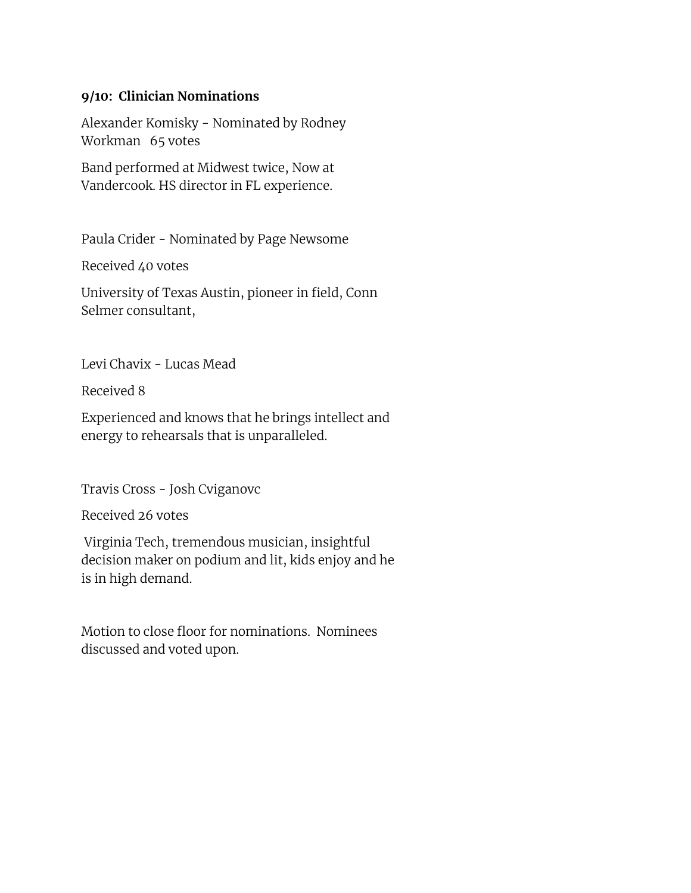#### **9/10: Clinician Nominations**

Alexander Komisky - Nominated by Rodney Workman 65 votes

Band performed at Midwest twice, Now at Vandercook. HS director in FL experience.

Paula Crider - Nominated by Page Newsome

Received 40 votes

University of Texas Austin, pioneer in field, Conn Selmer consultant,

Levi Chavix - Lucas Mead

Received 8

Experienced and knows that he brings intellect and energy to rehearsals that is unparalleled.

Travis Cross - Josh Cviganovc

Received 26 votes

Virginia Tech, tremendous musician, insightful decision maker on podium and lit, kids enjoy and he is in high demand.

Motion to close floor for nominations. Nominees discussed and voted upon.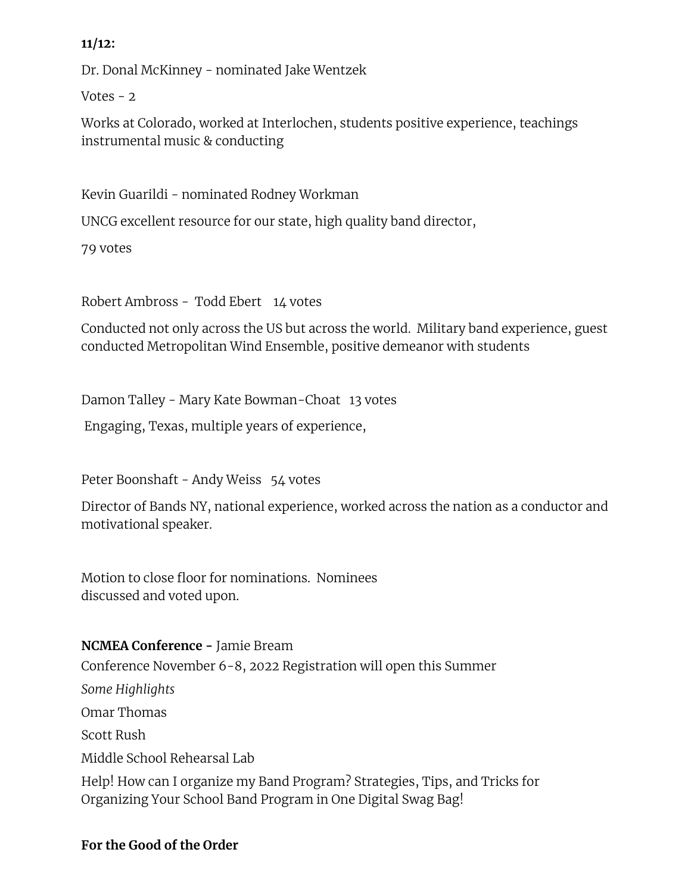### **11/12:**

Dr. Donal McKinney - nominated Jake Wentzek

Votes  $-2$ 

Works at Colorado, worked at Interlochen, students positive experience, teachings instrumental music & conducting

Kevin Guarildi - nominated Rodney Workman

UNCG excellent resource for our state, high quality band director,

79 votes

Robert Ambross - Todd Ebert 14 votes

Conducted not only across the US but across the world. Military band experience, guest conducted Metropolitan Wind Ensemble, positive demeanor with students

Damon Talley - Mary Kate Bowman-Choat 13 votes

Engaging, Texas, multiple years of experience,

Peter Boonshaft - Andy Weiss 54 votes

Director of Bands NY, national experience, worked across the nation as a conductor and motivational speaker.

Motion to close floor for nominations. Nominees discussed and voted upon.

### **NCMEA Conference -** Jamie Bream

Conference November 6-8, 2022 Registration will open this Summer

*Some Highlights* Omar Thomas Scott Rush Middle School Rehearsal Lab

Help! How can I organize my Band Program? Strategies, Tips, and Tricks for Organizing Your School Band Program in One Digital Swag Bag!

### **For the Good of the Order**